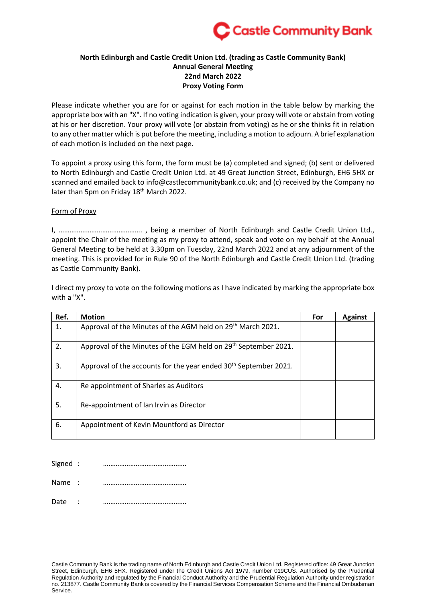

## **North Edinburgh and Castle Credit Union Ltd. (trading as Castle Community Bank) Annual General Meeting 22nd March 2022 Proxy Voting Form**

Please indicate whether you are for or against for each motion in the table below by marking the appropriate box with an "X". If no voting indication is given, your proxy will vote or abstain from voting at his or her discretion. Your proxy will vote (or abstain from voting) as he or she thinks fit in relation to any other matter which is put before the meeting, including a motion to adjourn. A brief explanation of each motion is included on the next page.

To appoint a proxy using this form, the form must be (a) completed and signed; (b) sent or delivered to North Edinburgh and Castle Credit Union Ltd. at 49 Great Junction Street, Edinburgh, EH6 5HX or scanned and emailed back to info@castlecommunitybank.co.uk; and (c) received by the Company no later than 5pm on Friday 18<sup>th</sup> March 2022.

## Form of Proxy

I, ………………………………………. , being a member of North Edinburgh and Castle Credit Union Ltd., appoint the Chair of the meeting as my proxy to attend, speak and vote on my behalf at the Annual General Meeting to be held at 3.30pm on Tuesday, 22nd March 2022 and at any adjournment of the meeting. This is provided for in Rule 90 of the North Edinburgh and Castle Credit Union Ltd. (trading as Castle Community Bank).

I direct my proxy to vote on the following motions as I have indicated by marking the appropriate box with a "X".

| Ref. | <b>Motion</b>                                                                | For | <b>Against</b> |
|------|------------------------------------------------------------------------------|-----|----------------|
| 1.   | Approval of the Minutes of the AGM held on 29 <sup>th</sup> March 2021.      |     |                |
| 2.   | Approval of the Minutes of the EGM held on 29 <sup>th</sup> September 2021.  |     |                |
| 3.   | Approval of the accounts for the year ended 30 <sup>th</sup> September 2021. |     |                |
| 4.   | Re appointment of Sharles as Auditors                                        |     |                |
| 5.   | Re-appointment of Ian Irvin as Director                                      |     |                |
| 6.   | Appointment of Kevin Mountford as Director                                   |     |                |

Signed : ……………………………………….

Name : ……………………………………….

Date : ……………………………………….

Castle Community Bank is the trading name of North Edinburgh and Castle Credit Union Ltd. Registered office: 49 Great Junction Street, Edinburgh, EH6 5HX. Registered under the Credit Unions Act 1979, number 019CUS. Authorised by the Prudential Regulation Authority and regulated by the Financial Conduct Authority and the Prudential Regulation Authority under registration no. 213877. Castle Community Bank is covered by the Financial Services Compensation Scheme and the Financial Ombudsman Service.